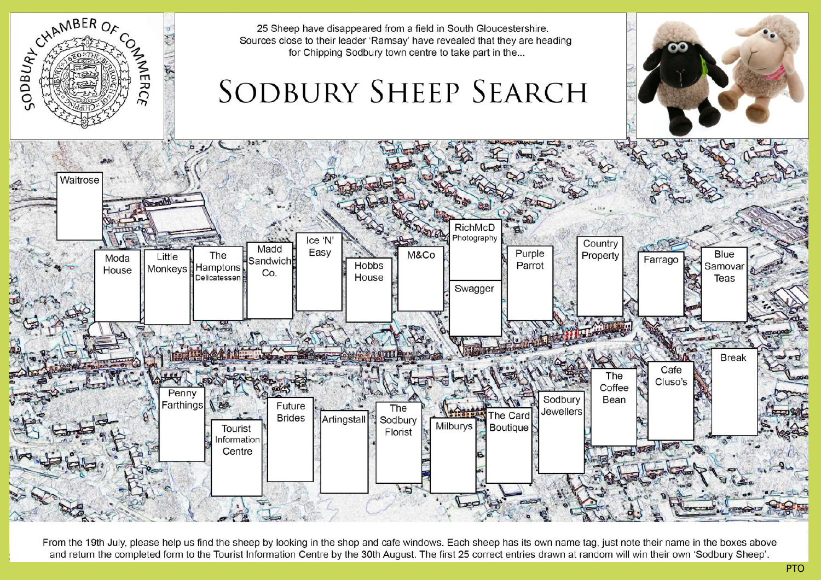

From the 19th July, please help us find the sheep by looking in the shop and cafe windows. Each sheep has its own name tag, just note their name in the boxes above and return the completed form to the Tourist Information Centre by the 30th August. The first 25 correct entries drawn at random will win their own 'Sodbury Sheep'.